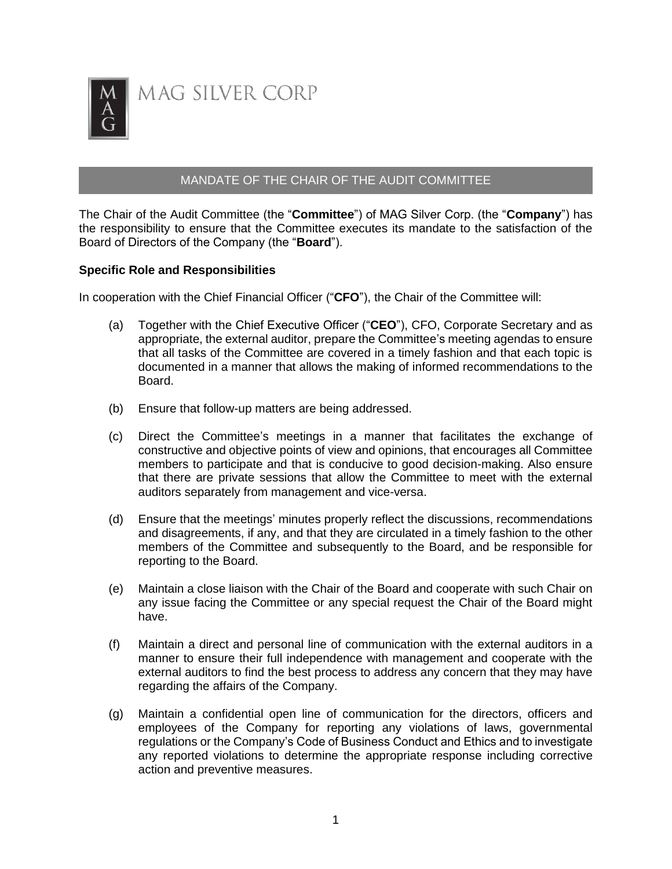

MAG SILVER CORP

## MANDATE OF THE CHAIR OF THE AUDIT COMMITTEE

The Chair of the Audit Committee (the "**Committee**") of MAG Silver Corp. (the "**Company**") has the responsibility to ensure that the Committee executes its mandate to the satisfaction of the Board of Directors of the Company (the "**Board**").

## **Specific Role and Responsibilities**

In cooperation with the Chief Financial Officer ("**CFO**"), the Chair of the Committee will:

- (a) Together with the Chief Executive Officer ("**CEO**"), CFO, Corporate Secretary and as appropriate, the external auditor, prepare the Committee's meeting agendas to ensure that all tasks of the Committee are covered in a timely fashion and that each topic is documented in a manner that allows the making of informed recommendations to the Board.
- (b) Ensure that follow-up matters are being addressed.
- (c) Direct the Committee's meetings in a manner that facilitates the exchange of constructive and objective points of view and opinions, that encourages all Committee members to participate and that is conducive to good decision-making. Also ensure that there are private sessions that allow the Committee to meet with the external auditors separately from management and vice-versa.
- (d) Ensure that the meetings' minutes properly reflect the discussions, recommendations and disagreements, if any, and that they are circulated in a timely fashion to the other members of the Committee and subsequently to the Board, and be responsible for reporting to the Board.
- (e) Maintain a close liaison with the Chair of the Board and cooperate with such Chair on any issue facing the Committee or any special request the Chair of the Board might have.
- (f) Maintain a direct and personal line of communication with the external auditors in a manner to ensure their full independence with management and cooperate with the external auditors to find the best process to address any concern that they may have regarding the affairs of the Company.
- (g) Maintain a confidential open line of communication for the directors, officers and employees of the Company for reporting any violations of laws, governmental regulations or the Company's Code of Business Conduct and Ethics and to investigate any reported violations to determine the appropriate response including corrective action and preventive measures.